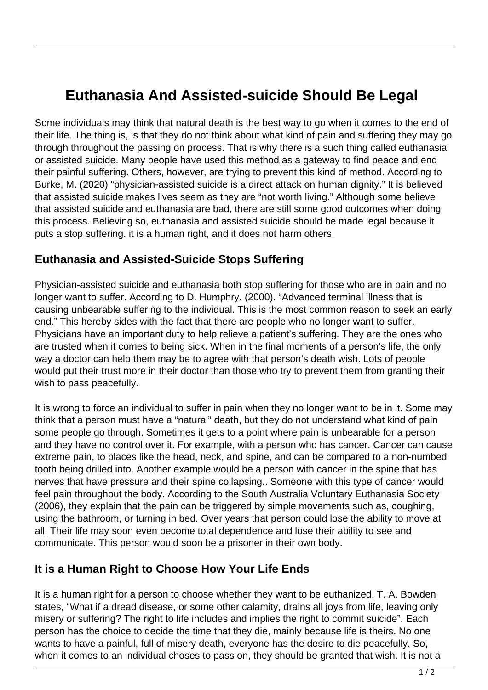## **Euthanasia And Assisted-suicide Should Be Legal**

Some individuals may think that natural death is the best way to go when it comes to the end of their life. The thing is, is that they do not think about what kind of pain and suffering they may go through throughout the passing on process. That is why there is a such thing called euthanasia or assisted suicide. Many people have used this method as a gateway to find peace and end their painful suffering. Others, however, are trying to prevent this kind of method. According to Burke, M. (2020) "physician-assisted suicide is a direct attack on human dignity." It is believed that assisted suicide makes lives seem as they are "not worth living." Although some believe that assisted suicide and euthanasia are bad, there are still some good outcomes when doing this process. Believing so, euthanasia and assisted suicide should be made legal because it puts a stop suffering, it is a human right, and it does not harm others.

## **Euthanasia and Assisted-Suicide Stops Suffering**

Physician-assisted suicide and euthanasia both stop suffering for those who are in pain and no longer want to suffer. According to D. Humphry. (2000). "Advanced terminal illness that is causing unbearable suffering to the individual. This is the most common reason to seek an early end." This hereby sides with the fact that there are people who no longer want to suffer. Physicians have an important duty to help relieve a patient's suffering. They are the ones who are trusted when it comes to being sick. When in the final moments of a person's life, the only way a doctor can help them may be to agree with that person's death wish. Lots of people would put their trust more in their doctor than those who try to prevent them from granting their wish to pass peacefully.

It is wrong to force an individual to suffer in pain when they no longer want to be in it. Some may think that a person must have a "natural" death, but they do not understand what kind of pain some people go through. Sometimes it gets to a point where pain is unbearable for a person and they have no control over it. For example, with a person who has cancer. Cancer can cause extreme pain, to places like the head, neck, and spine, and can be compared to a non-numbed tooth being drilled into. Another example would be a person with cancer in the spine that has nerves that have pressure and their spine collapsing.. Someone with this type of cancer would feel pain throughout the body. According to the South Australia Voluntary Euthanasia Society (2006), they explain that the pain can be triggered by simple movements such as, coughing, using the bathroom, or turning in bed. Over years that person could lose the ability to move at all. Their life may soon even become total dependence and lose their ability to see and communicate. This person would soon be a prisoner in their own body.

## **It is a Human Right to Choose How Your Life Ends**

It is a human right for a person to choose whether they want to be euthanized. T. A. Bowden states, "What if a dread disease, or some other calamity, drains all joys from life, leaving only misery or suffering? The right to life includes and implies the right to commit suicide". Each person has the choice to decide the time that they die, mainly because life is theirs. No one wants to have a painful, full of misery death, everyone has the desire to die peacefully. So, when it comes to an individual choses to pass on, they should be granted that wish. It is not a